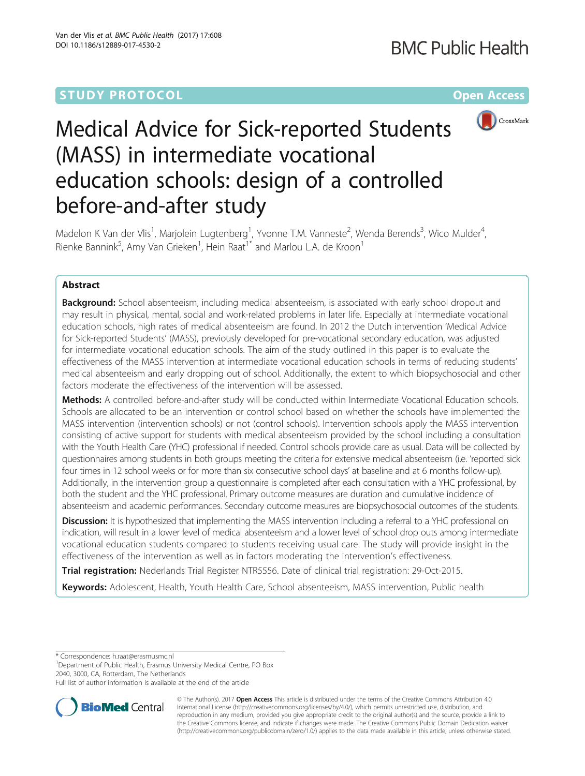## **STUDY PROTOCOL CONSUMING THE RESERVE ACCESS**



# Medical Advice for Sick-reported Students (MASS) in intermediate vocational education schools: design of a controlled before-and-after study

Madelon K Van der Vlis<sup>1</sup>, Marjolein Lugtenberg<sup>1</sup>, Yvonne T.M. Vanneste<sup>2</sup>, Wenda Berends<sup>3</sup>, Wico Mulder<sup>4</sup> , Rienke Bannink<sup>5</sup>, Amy Van Grieken<sup>1</sup>, Hein Raat<sup>1\*</sup> and Marlou L.A. de Kroon<sup>1</sup>

## Abstract

**Background:** School absenteeism, including medical absenteeism, is associated with early school dropout and may result in physical, mental, social and work-related problems in later life. Especially at intermediate vocational education schools, high rates of medical absenteeism are found. In 2012 the Dutch intervention 'Medical Advice for Sick-reported Students' (MASS), previously developed for pre-vocational secondary education, was adjusted for intermediate vocational education schools. The aim of the study outlined in this paper is to evaluate the effectiveness of the MASS intervention at intermediate vocational education schools in terms of reducing students' medical absenteeism and early dropping out of school. Additionally, the extent to which biopsychosocial and other factors moderate the effectiveness of the intervention will be assessed.

Methods: A controlled before-and-after study will be conducted within Intermediate Vocational Education schools. Schools are allocated to be an intervention or control school based on whether the schools have implemented the MASS intervention (intervention schools) or not (control schools). Intervention schools apply the MASS intervention consisting of active support for students with medical absenteeism provided by the school including a consultation with the Youth Health Care (YHC) professional if needed. Control schools provide care as usual. Data will be collected by questionnaires among students in both groups meeting the criteria for extensive medical absenteeism (i.e. 'reported sick four times in 12 school weeks or for more than six consecutive school days' at baseline and at 6 months follow-up). Additionally, in the intervention group a questionnaire is completed after each consultation with a YHC professional, by both the student and the YHC professional. Primary outcome measures are duration and cumulative incidence of absenteeism and academic performances. Secondary outcome measures are biopsychosocial outcomes of the students.

**Discussion:** It is hypothesized that implementing the MASS intervention including a referral to a YHC professional on indication, will result in a lower level of medical absenteeism and a lower level of school drop outs among intermediate vocational education students compared to students receiving usual care. The study will provide insight in the effectiveness of the intervention as well as in factors moderating the intervention's effectiveness.

Trial registration: Nederlands Trial Register NTR5556. Date of clinical trial registration: 29-Oct-2015.

Keywords: Adolescent, Health, Youth Health Care, School absenteeism, MASS intervention, Public health

\* Correspondence: [h.raat@erasmusmc.nl](mailto:h.raat@erasmusmc.nl) <sup>1</sup>

<sup>1</sup>Department of Public Health, Erasmus University Medical Centre, PO Box 2040, 3000, CA, Rotterdam, The Netherlands

Full list of author information is available at the end of the article



© The Author(s). 2017 **Open Access** This article is distributed under the terms of the Creative Commons Attribution 4.0 International License [\(http://creativecommons.org/licenses/by/4.0/](http://creativecommons.org/licenses/by/4.0/)), which permits unrestricted use, distribution, and reproduction in any medium, provided you give appropriate credit to the original author(s) and the source, provide a link to the Creative Commons license, and indicate if changes were made. The Creative Commons Public Domain Dedication waiver [\(http://creativecommons.org/publicdomain/zero/1.0/](http://creativecommons.org/publicdomain/zero/1.0/)) applies to the data made available in this article, unless otherwise stated.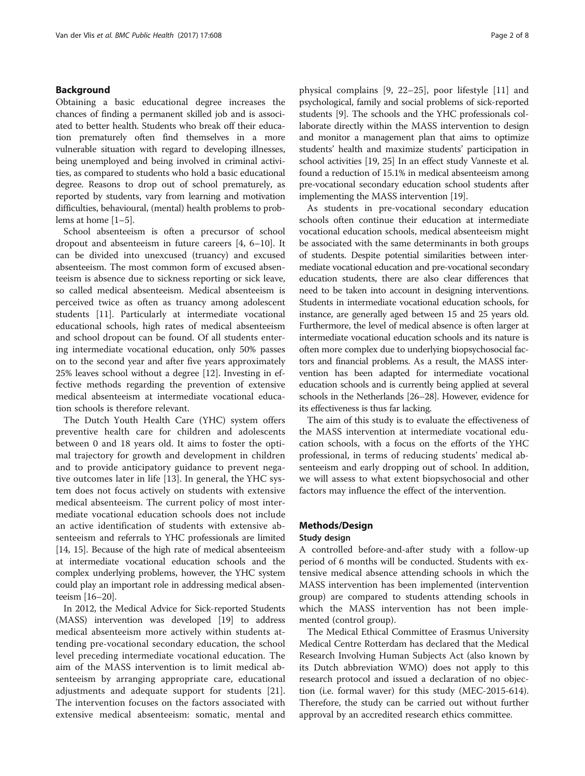## Background

Obtaining a basic educational degree increases the chances of finding a permanent skilled job and is associated to better health. Students who break off their education prematurely often find themselves in a more vulnerable situation with regard to developing illnesses, being unemployed and being involved in criminal activities, as compared to students who hold a basic educational degree. Reasons to drop out of school prematurely, as reported by students, vary from learning and motivation difficulties, behavioural, (mental) health problems to problems at home [\[1](#page-6-0)–[5\]](#page-6-0).

School absenteeism is often a precursor of school dropout and absenteeism in future careers [\[4,](#page-6-0) [6](#page-7-0)–[10\]](#page-7-0). It can be divided into unexcused (truancy) and excused absenteeism. The most common form of excused absenteeism is absence due to sickness reporting or sick leave, so called medical absenteeism. Medical absenteeism is perceived twice as often as truancy among adolescent students [[11\]](#page-7-0). Particularly at intermediate vocational educational schools, high rates of medical absenteeism and school dropout can be found. Of all students entering intermediate vocational education, only 50% passes on to the second year and after five years approximately 25% leaves school without a degree [\[12](#page-7-0)]. Investing in effective methods regarding the prevention of extensive medical absenteeism at intermediate vocational education schools is therefore relevant.

The Dutch Youth Health Care (YHC) system offers preventive health care for children and adolescents between 0 and 18 years old. It aims to foster the optimal trajectory for growth and development in children and to provide anticipatory guidance to prevent negative outcomes later in life [[13\]](#page-7-0). In general, the YHC system does not focus actively on students with extensive medical absenteeism. The current policy of most intermediate vocational education schools does not include an active identification of students with extensive absenteeism and referrals to YHC professionals are limited [[14](#page-7-0), [15\]](#page-7-0). Because of the high rate of medical absenteeism at intermediate vocational education schools and the complex underlying problems, however, the YHC system could play an important role in addressing medical absenteeism [\[16](#page-7-0)–[20](#page-7-0)].

In 2012, the Medical Advice for Sick-reported Students (MASS) intervention was developed [\[19\]](#page-7-0) to address medical absenteeism more actively within students attending pre-vocational secondary education, the school level preceding intermediate vocational education. The aim of the MASS intervention is to limit medical absenteeism by arranging appropriate care, educational adjustments and adequate support for students [\[21](#page-7-0)]. The intervention focuses on the factors associated with extensive medical absenteeism: somatic, mental and

physical complains [\[9](#page-7-0), [22](#page-7-0)–[25](#page-7-0)], poor lifestyle [\[11](#page-7-0)] and psychological, family and social problems of sick-reported students [\[9\]](#page-7-0). The schools and the YHC professionals collaborate directly within the MASS intervention to design and monitor a management plan that aims to optimize students' health and maximize students' participation in school activities [[19](#page-7-0), [25](#page-7-0)] In an effect study Vanneste et al. found a reduction of 15.1% in medical absenteeism among pre-vocational secondary education school students after implementing the MASS intervention [[19](#page-7-0)].

As students in pre-vocational secondary education schools often continue their education at intermediate vocational education schools, medical absenteeism might be associated with the same determinants in both groups of students. Despite potential similarities between intermediate vocational education and pre-vocational secondary education students, there are also clear differences that need to be taken into account in designing interventions. Students in intermediate vocational education schools, for instance, are generally aged between 15 and 25 years old. Furthermore, the level of medical absence is often larger at intermediate vocational education schools and its nature is often more complex due to underlying biopsychosocial factors and financial problems. As a result, the MASS intervention has been adapted for intermediate vocational education schools and is currently being applied at several schools in the Netherlands [\[26](#page-7-0)–[28](#page-7-0)]. However, evidence for its effectiveness is thus far lacking.

The aim of this study is to evaluate the effectiveness of the MASS intervention at intermediate vocational education schools, with a focus on the efforts of the YHC professional, in terms of reducing students' medical absenteeism and early dropping out of school. In addition, we will assess to what extent biopsychosocial and other factors may influence the effect of the intervention.

## Methods/Design Study design

A controlled before-and-after study with a follow-up period of 6 months will be conducted. Students with extensive medical absence attending schools in which the MASS intervention has been implemented (intervention group) are compared to students attending schools in which the MASS intervention has not been implemented (control group).

The Medical Ethical Committee of Erasmus University Medical Centre Rotterdam has declared that the Medical Research Involving Human Subjects Act (also known by its Dutch abbreviation WMO) does not apply to this research protocol and issued a declaration of no objection (i.e. formal waver) for this study (MEC-2015-614). Therefore, the study can be carried out without further approval by an accredited research ethics committee.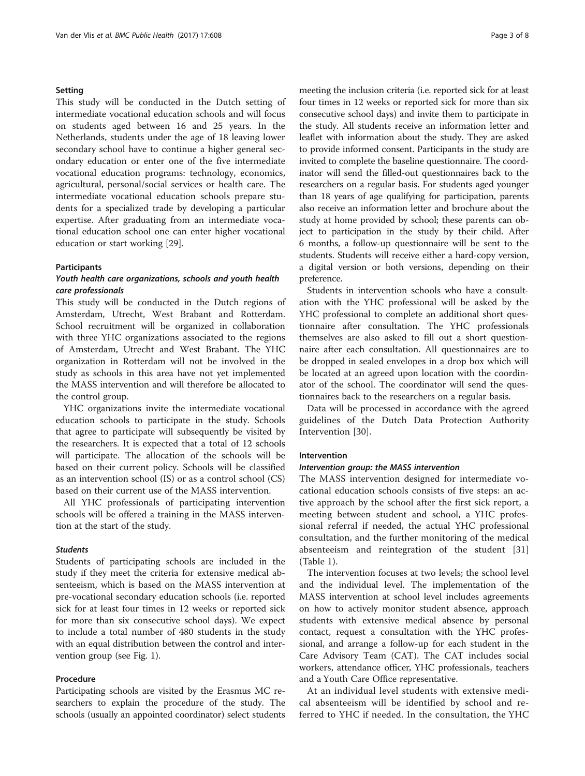### Setting

This study will be conducted in the Dutch setting of intermediate vocational education schools and will focus on students aged between 16 and 25 years. In the Netherlands, students under the age of 18 leaving lower secondary school have to continue a higher general secondary education or enter one of the five intermediate vocational education programs: technology, economics, agricultural, personal/social services or health care. The intermediate vocational education schools prepare students for a specialized trade by developing a particular expertise. After graduating from an intermediate vocational education school one can enter higher vocational education or start working [[29\]](#page-7-0).

#### **Participants**

## Youth health care organizations, schools and youth health care professionals

This study will be conducted in the Dutch regions of Amsterdam, Utrecht, West Brabant and Rotterdam. School recruitment will be organized in collaboration with three YHC organizations associated to the regions of Amsterdam, Utrecht and West Brabant. The YHC organization in Rotterdam will not be involved in the study as schools in this area have not yet implemented the MASS intervention and will therefore be allocated to the control group.

YHC organizations invite the intermediate vocational education schools to participate in the study. Schools that agree to participate will subsequently be visited by the researchers. It is expected that a total of 12 schools will participate. The allocation of the schools will be based on their current policy. Schools will be classified as an intervention school (IS) or as a control school (CS) based on their current use of the MASS intervention.

All YHC professionals of participating intervention schools will be offered a training in the MASS intervention at the start of the study.

#### **Students**

Students of participating schools are included in the study if they meet the criteria for extensive medical absenteeism, which is based on the MASS intervention at pre-vocational secondary education schools (i.e. reported sick for at least four times in 12 weeks or reported sick for more than six consecutive school days). We expect to include a total number of 480 students in the study with an equal distribution between the control and intervention group (see Fig. [1](#page-3-0)).

## Procedure

Participating schools are visited by the Erasmus MC researchers to explain the procedure of the study. The schools (usually an appointed coordinator) select students meeting the inclusion criteria (i.e. reported sick for at least four times in 12 weeks or reported sick for more than six consecutive school days) and invite them to participate in the study. All students receive an information letter and leaflet with information about the study. They are asked to provide informed consent. Participants in the study are invited to complete the baseline questionnaire. The coordinator will send the filled-out questionnaires back to the researchers on a regular basis. For students aged younger than 18 years of age qualifying for participation, parents also receive an information letter and brochure about the study at home provided by school; these parents can object to participation in the study by their child. After 6 months, a follow-up questionnaire will be sent to the students. Students will receive either a hard-copy version, a digital version or both versions, depending on their preference.

Students in intervention schools who have a consultation with the YHC professional will be asked by the YHC professional to complete an additional short questionnaire after consultation. The YHC professionals themselves are also asked to fill out a short questionnaire after each consultation. All questionnaires are to be dropped in sealed envelopes in a drop box which will be located at an agreed upon location with the coordinator of the school. The coordinator will send the questionnaires back to the researchers on a regular basis.

Data will be processed in accordance with the agreed guidelines of the Dutch Data Protection Authority Intervention [[30\]](#page-7-0).

#### Intervention

#### Intervention group: the MASS intervention

The MASS intervention designed for intermediate vocational education schools consists of five steps: an active approach by the school after the first sick report, a meeting between student and school, a YHC professional referral if needed, the actual YHC professional consultation, and the further monitoring of the medical absenteeism and reintegration of the student [\[31](#page-7-0)] (Table [1\)](#page-4-0).

The intervention focuses at two levels; the school level and the individual level. The implementation of the MASS intervention at school level includes agreements on how to actively monitor student absence, approach students with extensive medical absence by personal contact, request a consultation with the YHC professional, and arrange a follow-up for each student in the Care Advisory Team (CAT). The CAT includes social workers, attendance officer, YHC professionals, teachers and a Youth Care Office representative.

At an individual level students with extensive medical absenteeism will be identified by school and referred to YHC if needed. In the consultation, the YHC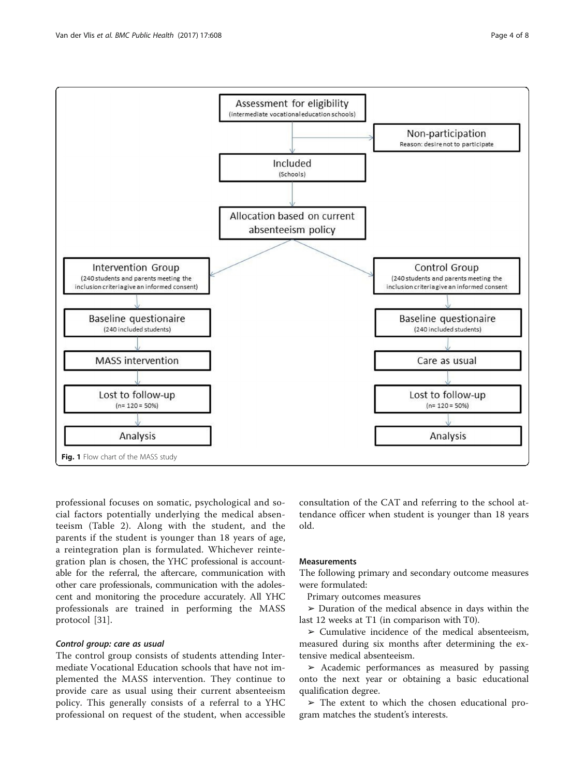<span id="page-3-0"></span>

professional focuses on somatic, psychological and social factors potentially underlying the medical absenteeism (Table [2\)](#page-4-0). Along with the student, and the parents if the student is younger than 18 years of age, a reintegration plan is formulated. Whichever reintegration plan is chosen, the YHC professional is accountable for the referral, the aftercare, communication with other care professionals, communication with the adolescent and monitoring the procedure accurately. All YHC professionals are trained in performing the MASS protocol [[31\]](#page-7-0).

## Control group: care as usual

The control group consists of students attending Intermediate Vocational Education schools that have not implemented the MASS intervention. They continue to provide care as usual using their current absenteeism policy. This generally consists of a referral to a YHC professional on request of the student, when accessible

consultation of the CAT and referring to the school attendance officer when student is younger than 18 years old.

## **Measurements**

The following primary and secondary outcome measures were formulated:

Primary outcomes measures

 $\triangleright$  Duration of the medical absence in days within the last 12 weeks at T1 (in comparison with T0).

 $\triangleright$  Cumulative incidence of the medical absenteeism, measured during six months after determining the extensive medical absenteeism.

➢ Academic performances as measured by passing onto the next year or obtaining a basic educational qualification degree.

 $\triangleright$  The extent to which the chosen educational program matches the student's interests.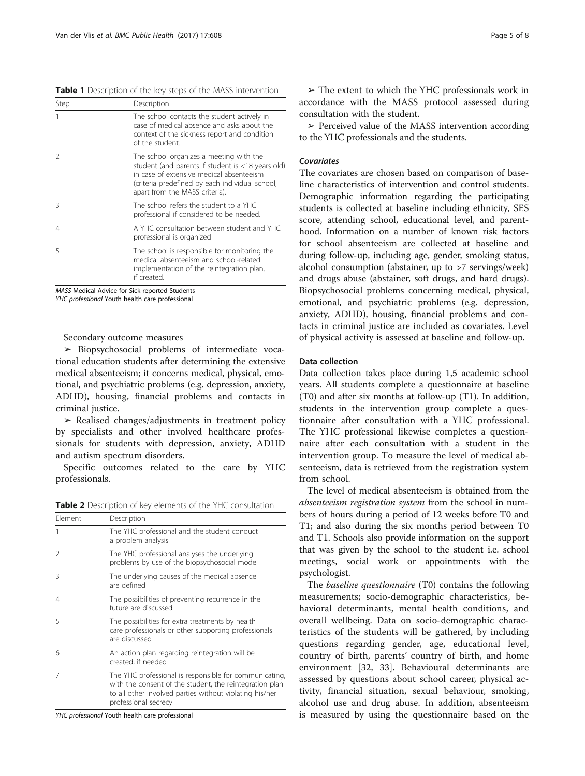<span id="page-4-0"></span>Table 1 Description of the key steps of the MASS intervention

| Step | Description                                                                                                                                                                                                                   |
|------|-------------------------------------------------------------------------------------------------------------------------------------------------------------------------------------------------------------------------------|
|      | The school contacts the student actively in<br>case of medical absence and asks about the<br>context of the sickness report and condition<br>of the student.                                                                  |
| 2    | The school organizes a meeting with the<br>student (and parents if student is <18 years old)<br>in case of extensive medical absenteeism<br>(criteria predefined by each individual school,<br>apart from the MASS criteria). |
| Β    | The school refers the student to a YHC<br>professional if considered to be needed.                                                                                                                                            |
| 4    | A YHC consultation between student and YHC<br>professional is organized                                                                                                                                                       |
| 5    | The school is responsible for monitoring the<br>medical absenteeism and school-related<br>implementation of the reintegration plan,<br>if created.                                                                            |

MASS Medical Advice for Sick-reported Students

YHC professional Youth health care professional

Secondary outcome measures

 $\geq$  Biopsychosocial problems of intermediate vocational education students after determining the extensive medical absenteeism; it concerns medical, physical, emotional, and psychiatric problems (e.g. depression, anxiety, ADHD), housing, financial problems and contacts in criminal justice.

➢ Realised changes/adjustments in treatment policy by specialists and other involved healthcare professionals for students with depression, anxiety, ADHD and autism spectrum disorders.

Specific outcomes related to the care by YHC professionals.

Table 2 Description of key elements of the YHC consultation

| Element | Description                                                                                                                                                                                         |
|---------|-----------------------------------------------------------------------------------------------------------------------------------------------------------------------------------------------------|
| 1       | The YHC professional and the student conduct<br>a problem analysis                                                                                                                                  |
| 2       | The YHC professional analyses the underlying<br>problems by use of the biopsychosocial model                                                                                                        |
| 3       | The underlying causes of the medical absence<br>are defined                                                                                                                                         |
| 4       | The possibilities of preventing recurrence in the<br>future are discussed                                                                                                                           |
| 5       | The possibilities for extra treatments by health<br>care professionals or other supporting professionals<br>are discussed                                                                           |
| 6       | An action plan regarding reintegration will be<br>created, if needed                                                                                                                                |
| 7       | The YHC professional is responsible for communicating<br>with the consent of the student, the reintegration plan<br>to all other involved parties without violating his/her<br>professional secrecy |

YHC professional Youth health care professional

➢ The extent to which the YHC professionals work in accordance with the MASS protocol assessed during consultation with the student.

 $\geq$  Perceived value of the MASS intervention according to the YHC professionals and the students.

## Covariates

The covariates are chosen based on comparison of baseline characteristics of intervention and control students. Demographic information regarding the participating students is collected at baseline including ethnicity, SES score, attending school, educational level, and parenthood. Information on a number of known risk factors for school absenteeism are collected at baseline and during follow-up, including age, gender, smoking status, alcohol consumption (abstainer, up to >7 servings/week) and drugs abuse (abstainer, soft drugs, and hard drugs). Biopsychosocial problems concerning medical, physical, emotional, and psychiatric problems (e.g. depression, anxiety, ADHD), housing, financial problems and contacts in criminal justice are included as covariates. Level of physical activity is assessed at baseline and follow-up.

## Data collection

Data collection takes place during 1,5 academic school years. All students complete a questionnaire at baseline (T0) and after six months at follow-up (T1). In addition, students in the intervention group complete a questionnaire after consultation with a YHC professional. The YHC professional likewise completes a questionnaire after each consultation with a student in the intervention group. To measure the level of medical absenteeism, data is retrieved from the registration system from school.

The level of medical absenteeism is obtained from the absenteeism registration system from the school in numbers of hours during a period of 12 weeks before T0 and T1; and also during the six months period between T0 and T1. Schools also provide information on the support that was given by the school to the student i.e. school meetings, social work or appointments with the psychologist.

The baseline questionnaire (T0) contains the following measurements; socio-demographic characteristics, behavioral determinants, mental health conditions, and overall wellbeing. Data on socio-demographic characteristics of the students will be gathered, by including questions regarding gender, age, educational level, country of birth, parents' country of birth, and home environment [[32, 33\]](#page-7-0). Behavioural determinants are assessed by questions about school career, physical activity, financial situation, sexual behaviour, smoking, alcohol use and drug abuse. In addition, absenteeism is measured by using the questionnaire based on the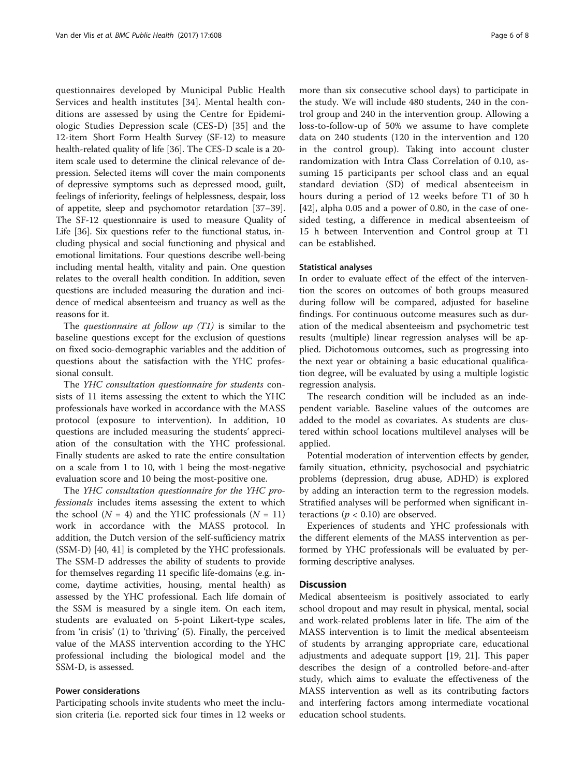questionnaires developed by Municipal Public Health Services and health institutes [[34](#page-7-0)]. Mental health conditions are assessed by using the Centre for Epidemiologic Studies Depression scale (CES-D) [[35\]](#page-7-0) and the 12-item Short Form Health Survey (SF-12) to measure health-related quality of life [[36](#page-7-0)]. The CES-D scale is a 20 item scale used to determine the clinical relevance of depression. Selected items will cover the main components of depressive symptoms such as depressed mood, guilt, feelings of inferiority, feelings of helplessness, despair, loss of appetite, sleep and psychomotor retardation [\[37](#page-7-0)–[39](#page-7-0)]. The SF-12 questionnaire is used to measure Quality of Life [[36](#page-7-0)]. Six questions refer to the functional status, including physical and social functioning and physical and emotional limitations. Four questions describe well-being including mental health, vitality and pain. One question relates to the overall health condition. In addition, seven questions are included measuring the duration and incidence of medical absenteeism and truancy as well as the reasons for it.

The questionnaire at follow up  $(T1)$  is similar to the baseline questions except for the exclusion of questions on fixed socio-demographic variables and the addition of questions about the satisfaction with the YHC professional consult.

The YHC consultation questionnaire for students consists of 11 items assessing the extent to which the YHC professionals have worked in accordance with the MASS protocol (exposure to intervention). In addition, 10 questions are included measuring the students' appreciation of the consultation with the YHC professional. Finally students are asked to rate the entire consultation on a scale from 1 to 10, with 1 being the most-negative evaluation score and 10 being the most-positive one.

The YHC consultation questionnaire for the YHC professionals includes items assessing the extent to which the school ( $N = 4$ ) and the YHC professionals ( $N = 11$ ) work in accordance with the MASS protocol. In addition, the Dutch version of the self-sufficiency matrix (SSM-D) [[40, 41\]](#page-7-0) is completed by the YHC professionals. The SSM-D addresses the ability of students to provide for themselves regarding 11 specific life-domains (e.g. income, daytime activities, housing, mental health) as assessed by the YHC professional. Each life domain of the SSM is measured by a single item. On each item, students are evaluated on 5-point Likert-type scales, from 'in crisis' (1) to 'thriving' (5). Finally, the perceived value of the MASS intervention according to the YHC professional including the biological model and the SSM-D, is assessed.

## Power considerations

Participating schools invite students who meet the inclusion criteria (i.e. reported sick four times in 12 weeks or

more than six consecutive school days) to participate in the study. We will include 480 students, 240 in the control group and 240 in the intervention group. Allowing a loss-to-follow-up of 50% we assume to have complete data on 240 students (120 in the intervention and 120 in the control group). Taking into account cluster randomization with Intra Class Correlation of 0.10, assuming 15 participants per school class and an equal standard deviation (SD) of medical absenteeism in hours during a period of 12 weeks before T1 of 30 h [[42\]](#page-7-0), alpha 0.05 and a power of 0.80, in the case of onesided testing, a difference in medical absenteeism of 15 h between Intervention and Control group at T1 can be established.

## Statistical analyses

In order to evaluate effect of the effect of the intervention the scores on outcomes of both groups measured during follow will be compared, adjusted for baseline findings. For continuous outcome measures such as duration of the medical absenteeism and psychometric test results (multiple) linear regression analyses will be applied. Dichotomous outcomes, such as progressing into the next year or obtaining a basic educational qualification degree, will be evaluated by using a multiple logistic regression analysis.

The research condition will be included as an independent variable. Baseline values of the outcomes are added to the model as covariates. As students are clustered within school locations multilevel analyses will be applied.

Potential moderation of intervention effects by gender, family situation, ethnicity, psychosocial and psychiatric problems (depression, drug abuse, ADHD) is explored by adding an interaction term to the regression models. Stratified analyses will be performed when significant interactions ( $p < 0.10$ ) are observed.

Experiences of students and YHC professionals with the different elements of the MASS intervention as performed by YHC professionals will be evaluated by performing descriptive analyses.

## **Discussion**

Medical absenteeism is positively associated to early school dropout and may result in physical, mental, social and work-related problems later in life. The aim of the MASS intervention is to limit the medical absenteeism of students by arranging appropriate care, educational adjustments and adequate support [[19](#page-7-0), [21\]](#page-7-0). This paper describes the design of a controlled before-and-after study, which aims to evaluate the effectiveness of the MASS intervention as well as its contributing factors and interfering factors among intermediate vocational education school students.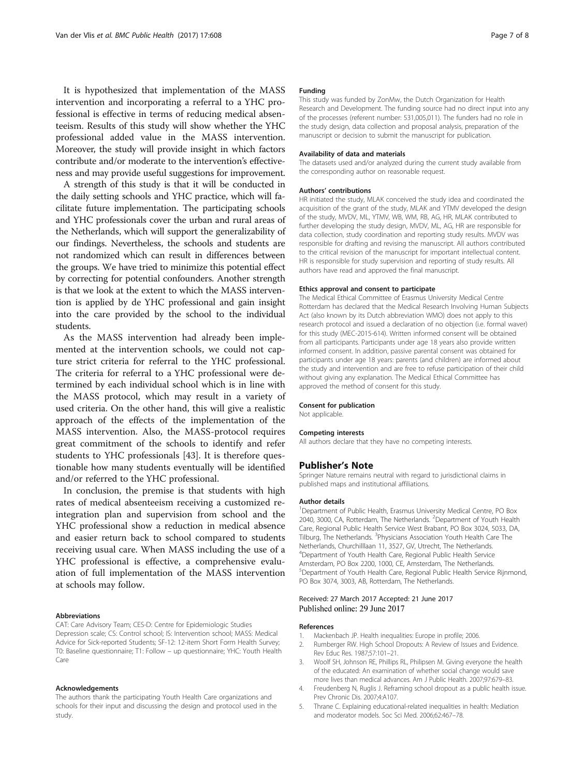<span id="page-6-0"></span>It is hypothesized that implementation of the MASS intervention and incorporating a referral to a YHC professional is effective in terms of reducing medical absenteeism. Results of this study will show whether the YHC professional added value in the MASS intervention. Moreover, the study will provide insight in which factors contribute and/or moderate to the intervention's effectiveness and may provide useful suggestions for improvement.

A strength of this study is that it will be conducted in the daily setting schools and YHC practice, which will facilitate future implementation. The participating schools and YHC professionals cover the urban and rural areas of the Netherlands, which will support the generalizability of our findings. Nevertheless, the schools and students are not randomized which can result in differences between the groups. We have tried to minimize this potential effect by correcting for potential confounders. Another strength is that we look at the extent to which the MASS intervention is applied by de YHC professional and gain insight into the care provided by the school to the individual students.

As the MASS intervention had already been implemented at the intervention schools, we could not capture strict criteria for referral to the YHC professional. The criteria for referral to a YHC professional were determined by each individual school which is in line with the MASS protocol, which may result in a variety of used criteria. On the other hand, this will give a realistic approach of the effects of the implementation of the MASS intervention. Also, the MASS-protocol requires great commitment of the schools to identify and refer students to YHC professionals [\[43](#page-7-0)]. It is therefore questionable how many students eventually will be identified and/or referred to the YHC professional.

In conclusion, the premise is that students with high rates of medical absenteeism receiving a customized reintegration plan and supervision from school and the YHC professional show a reduction in medical absence and easier return back to school compared to students receiving usual care. When MASS including the use of a YHC professional is effective, a comprehensive evaluation of full implementation of the MASS intervention at schools may follow.

#### Abbreviations

CAT: Care Advisory Team; CES-D: Centre for Epidemiologic Studies Depression scale; CS: Control school; IS: Intervention school; MASS: Medical Advice for Sick-reported Students; SF-12: 12-item Short Form Health Survey; T0: Baseline questionnaire; T1: Follow – up questionnaire; YHC: Youth Health Care

## Acknowledgements

The authors thank the participating Youth Health Care organizations and schools for their input and discussing the design and protocol used in the study

#### Funding

This study was funded by ZonMw, the Dutch Organization for Health Research and Development. The funding source had no direct input into any of the processes (referent number: 531,005,011). The funders had no role in the study design, data collection and proposal analysis, preparation of the manuscript or decision to submit the manuscript for publication.

#### Availability of data and materials

The datasets used and/or analyzed during the current study available from the corresponding author on reasonable request.

#### Authors' contributions

HR initiated the study, MLAK conceived the study idea and coordinated the acquisition of the grant of the study, MLAK and YTMV developed the design of the study, MVDV, ML, YTMV, WB, WM, RB, AG, HR, MLAK contributed to further developing the study design, MVDV, ML, AG, HR are responsible for data collection, study coordination and reporting study results. MVDV was responsible for drafting and revising the manuscript. All authors contributed to the critical revision of the manuscript for important intellectual content. HR is responsible for study supervision and reporting of study results. All authors have read and approved the final manuscript.

#### Ethics approval and consent to participate

The Medical Ethical Committee of Erasmus University Medical Centre Rotterdam has declared that the Medical Research Involving Human Subjects Act (also known by its Dutch abbreviation WMO) does not apply to this research protocol and issued a declaration of no objection (i.e. formal waver) for this study (MEC-2015-614). Written informed consent will be obtained from all participants. Participants under age 18 years also provide written informed consent. In addition, passive parental consent was obtained for participants under age 18 years: parents (and children) are informed about the study and intervention and are free to refuse participation of their child without giving any explanation. The Medical Ethical Committee has approved the method of consent for this study.

#### Consent for publication

Not applicable.

#### Competing interests

All authors declare that they have no competing interests.

#### Publisher's Note

Springer Nature remains neutral with regard to jurisdictional claims in published maps and institutional affiliations.

#### Author details

<sup>1</sup>Department of Public Health, Erasmus University Medical Centre, PO Box 2040, 3000, CA, Rotterdam, The Netherlands. <sup>2</sup>Department of Youth Health Care, Regional Public Health Service West Brabant, PO Box 3024, 5033, DA, Tilburg, The Netherlands. <sup>3</sup>Physicians Association Youth Health Care The Netherlands, Churchilllaan 11, 3527, GV, Utrecht, The Netherlands. 4 Department of Youth Health Care, Regional Public Health Service Amsterdam, PO Box 2200, 1000, CE, Amsterdam, The Netherlands. 5 Department of Youth Health Care, Regional Public Health Service Rijnmond, PO Box 3074, 3003, AB, Rotterdam, The Netherlands.

#### Received: 27 March 2017 Accepted: 21 June 2017 Published online: 29 June 2017

#### References

- Mackenbach JP. Health inequalities: Europe in profile; 2006.
- 2. Rumberger RW. High School Dropouts: A Review of Issues and Evidence. Rev Educ Res. 1987;57:101–21.
- 3. Woolf SH, Johnson RE, Phillips RL, Philipsen M. Giving everyone the health of the educated: An examination of whether social change would save more lives than medical advances. Am J Public Health. 2007;97:679–83.
- 4. Freudenberg N, Ruglis J. Reframing school dropout as a public health issue. Prev Chronic Dis. 2007;4:A107.
- 5. Thrane C. Explaining educational-related inequalities in health: Mediation and moderator models. Soc Sci Med. 2006;62:467–78.